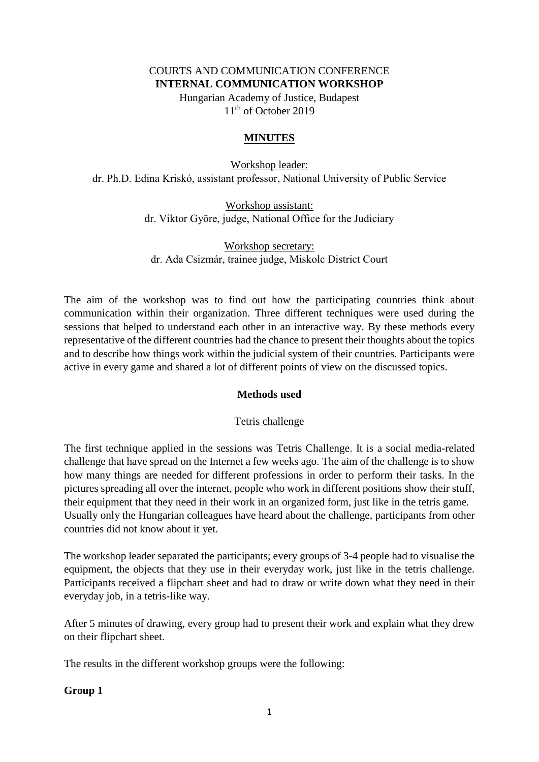#### COURTS AND COMMUNICATION CONFERENCE **INTERNAL COMMUNICATION WORKSHOP**

Hungarian Academy of Justice, Budapest 11<sup>th</sup> of October 2019

### **MINUTES**

Workshop leader: dr. Ph.D. Edina Kriskó, assistant professor, National University of Public Service

> Workshop assistant: dr. Viktor Györe, judge, National Office for the Judiciary

Workshop secretary: dr. Ada Csizmár, trainee judge, Miskolc District Court

The aim of the workshop was to find out how the participating countries think about communication within their organization. Three different techniques were used during the sessions that helped to understand each other in an interactive way. By these methods every representative of the different countries had the chance to present their thoughts about the topics and to describe how things work within the judicial system of their countries. Participants were active in every game and shared a lot of different points of view on the discussed topics.

# **Methods used**

# Tetris challenge

The first technique applied in the sessions was Tetris Challenge. It is a social media-related challenge that have spread on the Internet a few weeks ago. The aim of the challenge is to show how many things are needed for different professions in order to perform their tasks. In the pictures spreading all over the internet, people who work in different positions show their stuff, their equipment that they need in their work in an organized form, just like in the tetris game. Usually only the Hungarian colleagues have heard about the challenge, participants from other countries did not know about it yet.

The workshop leader separated the participants; every groups of 3-4 people had to visualise the equipment, the objects that they use in their everyday work, just like in the tetris challenge. Participants received a flipchart sheet and had to draw or write down what they need in their everyday job, in a tetris-like way.

After 5 minutes of drawing, every group had to present their work and explain what they drew on their flipchart sheet.

The results in the different workshop groups were the following:

# **Group 1**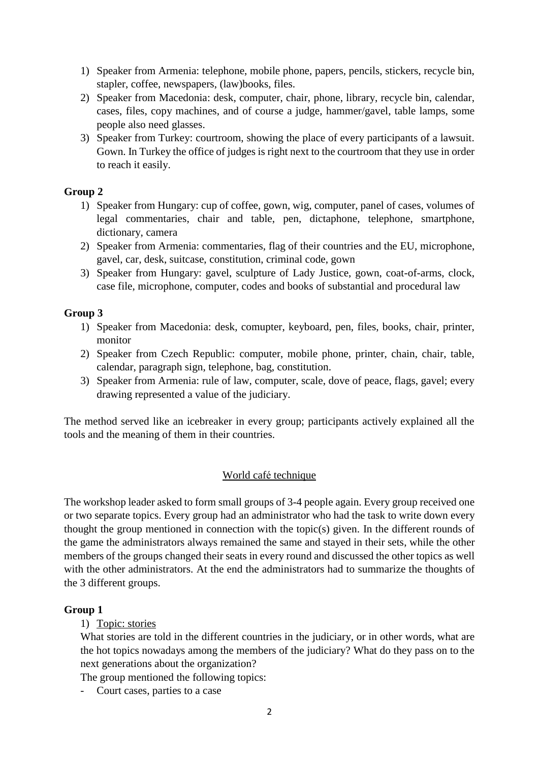- 1) Speaker from Armenia: telephone, mobile phone, papers, pencils, stickers, recycle bin, stapler, coffee, newspapers, (law)books, files.
- 2) Speaker from Macedonia: desk, computer, chair, phone, library, recycle bin, calendar, cases, files, copy machines, and of course a judge, hammer/gavel, table lamps, some people also need glasses.
- 3) Speaker from Turkey: courtroom, showing the place of every participants of a lawsuit. Gown. In Turkey the office of judges is right next to the courtroom that they use in order to reach it easily.

# **Group 2**

- 1) Speaker from Hungary: cup of coffee, gown, wig, computer, panel of cases, volumes of legal commentaries, chair and table, pen, dictaphone, telephone, smartphone, dictionary, camera
- 2) Speaker from Armenia: commentaries, flag of their countries and the EU, microphone, gavel, car, desk, suitcase, constitution, criminal code, gown
- 3) Speaker from Hungary: gavel, sculpture of Lady Justice, gown, coat-of-arms, clock, case file, microphone, computer, codes and books of substantial and procedural law

# **Group 3**

- 1) Speaker from Macedonia: desk, comupter, keyboard, pen, files, books, chair, printer, monitor
- 2) Speaker from Czech Republic: computer, mobile phone, printer, chain, chair, table, calendar, paragraph sign, telephone, bag, constitution.
- 3) Speaker from Armenia: rule of law, computer, scale, dove of peace, flags, gavel; every drawing represented a value of the judiciary.

The method served like an icebreaker in every group; participants actively explained all the tools and the meaning of them in their countries.

# World café technique

The workshop leader asked to form small groups of 3-4 people again. Every group received one or two separate topics. Every group had an administrator who had the task to write down every thought the group mentioned in connection with the topic(s) given. In the different rounds of the game the administrators always remained the same and stayed in their sets, while the other members of the groups changed their seats in every round and discussed the other topics as well with the other administrators. At the end the administrators had to summarize the thoughts of the 3 different groups.

# **Group 1**

# 1) Topic: stories

What stories are told in the different countries in the judiciary, or in other words, what are the hot topics nowadays among the members of the judiciary? What do they pass on to the next generations about the organization?

The group mentioned the following topics:

Court cases, parties to a case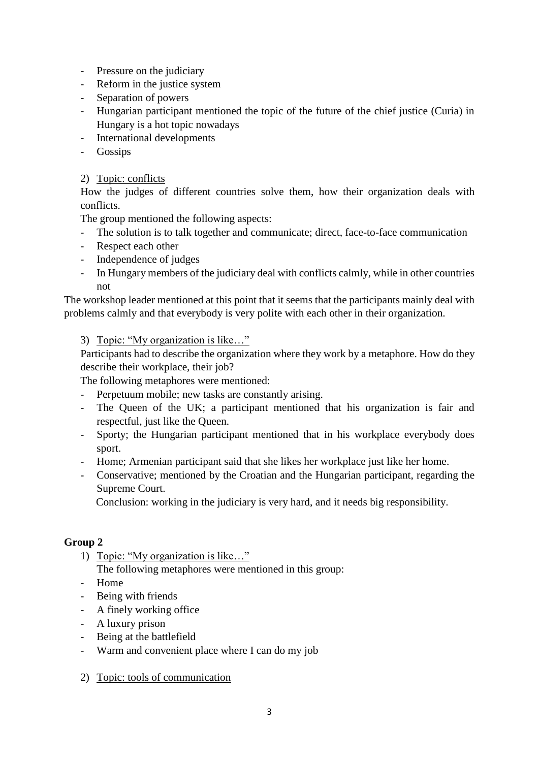- Pressure on the judiciary
- Reform in the justice system
- Separation of powers
- Hungarian participant mentioned the topic of the future of the chief justice (Curia) in Hungary is a hot topic nowadays
- International developments
- Gossips

# 2) Topic: conflicts

How the judges of different countries solve them, how their organization deals with conflicts.

The group mentioned the following aspects:

- The solution is to talk together and communicate; direct, face-to-face communication
- Respect each other
- Independence of judges
- In Hungary members of the judiciary deal with conflicts calmly, while in other countries not

The workshop leader mentioned at this point that it seems that the participants mainly deal with problems calmly and that everybody is very polite with each other in their organization.

# 3) Topic: "My organization is like…"

Participants had to describe the organization where they work by a metaphore. How do they describe their workplace, their job?

The following metaphores were mentioned:

- Perpetuum mobile; new tasks are constantly arising.
- The Queen of the UK; a participant mentioned that his organization is fair and respectful, just like the Queen.
- Sporty; the Hungarian participant mentioned that in his workplace everybody does sport.
- Home; Armenian participant said that she likes her workplace just like her home.
- Conservative; mentioned by the Croatian and the Hungarian participant, regarding the Supreme Court.

Conclusion: working in the judiciary is very hard, and it needs big responsibility.

# **Group 2**

- 1) Topic: "My organization is like…" The following metaphores were mentioned in this group:
- Home
- Being with friends
- A finely working office
- A luxury prison
- Being at the battlefield
- Warm and convenient place where I can do my job
- 2) Topic: tools of communication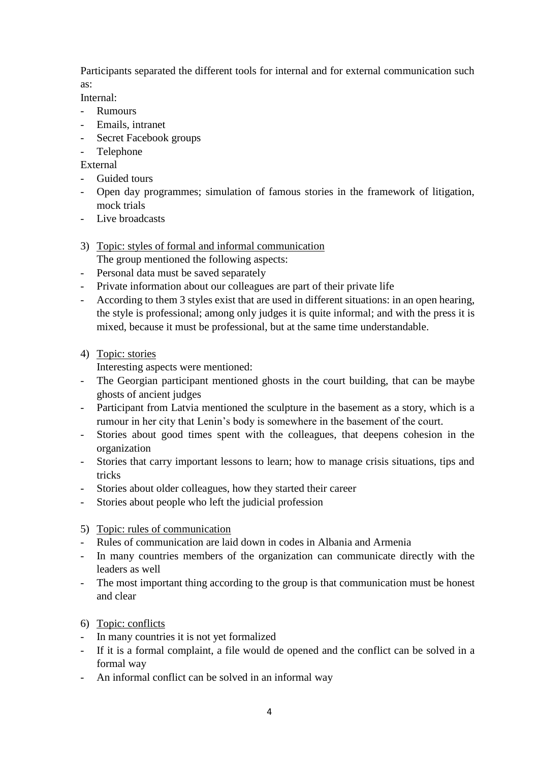Participants separated the different tools for internal and for external communication such as:

Internal:

- Rumours
- Emails, intranet
- Secret Facebook groups
- Telephone

External

- Guided tours
- Open day programmes; simulation of famous stories in the framework of litigation, mock trials
- Live broadcasts
- 3) Topic: styles of formal and informal communication

The group mentioned the following aspects:

- Personal data must be saved separately
- Private information about our colleagues are part of their private life
- According to them 3 styles exist that are used in different situations: in an open hearing, the style is professional; among only judges it is quite informal; and with the press it is mixed, because it must be professional, but at the same time understandable.

# 4) Topic: stories

Interesting aspects were mentioned:

- The Georgian participant mentioned ghosts in the court building, that can be maybe ghosts of ancient judges
- Participant from Latvia mentioned the sculpture in the basement as a story, which is a rumour in her city that Lenin's body is somewhere in the basement of the court.
- Stories about good times spent with the colleagues, that deepens cohesion in the organization
- Stories that carry important lessons to learn; how to manage crisis situations, tips and tricks
- Stories about older colleagues, how they started their career
- Stories about people who left the judicial profession

# 5) Topic: rules of communication

- Rules of communication are laid down in codes in Albania and Armenia
- In many countries members of the organization can communicate directly with the leaders as well
- The most important thing according to the group is that communication must be honest and clear

# 6) Topic: conflicts

- In many countries it is not yet formalized
- If it is a formal complaint, a file would de opened and the conflict can be solved in a formal way
- An informal conflict can be solved in an informal way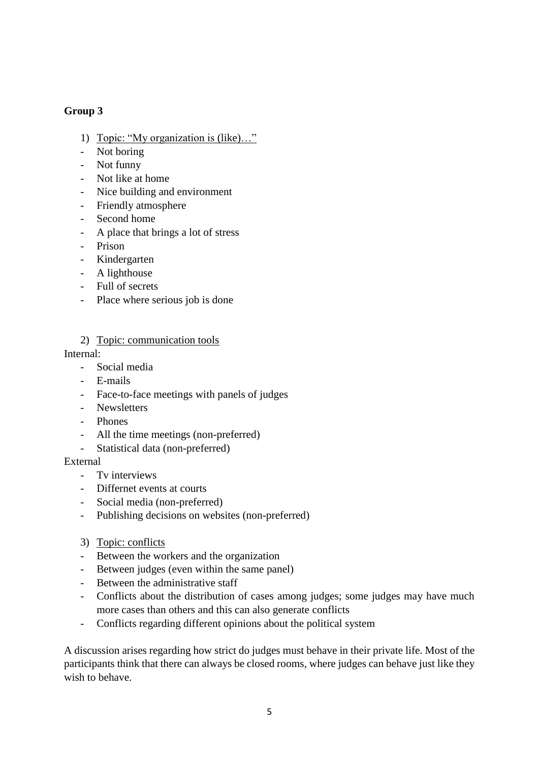# **Group 3**

- 1) Topic: "My organization is (like)..."
- Not boring
- Not funny
- Not like at home
- Nice building and environment
- Friendly atmosphere
- Second home
- A place that brings a lot of stress
- Prison
- Kindergarten
- A lighthouse
- Full of secrets
- Place where serious job is done
- 2) Topic: communication tools

#### Internal:

- Social media
- E-mails
- Face-to-face meetings with panels of judges
- Newsletters
- Phones
- All the time meetings (non-preferred)
- Statistical data (non-preferred)

### External

- Tv interviews
- Differnet events at courts
- Social media (non-preferred)
- Publishing decisions on websites (non-preferred)
- 3) Topic: conflicts
- Between the workers and the organization
- Between judges (even within the same panel)
- Between the administrative staff
- Conflicts about the distribution of cases among judges; some judges may have much more cases than others and this can also generate conflicts
- Conflicts regarding different opinions about the political system

A discussion arises regarding how strict do judges must behave in their private life. Most of the participants think that there can always be closed rooms, where judges can behave just like they wish to behave.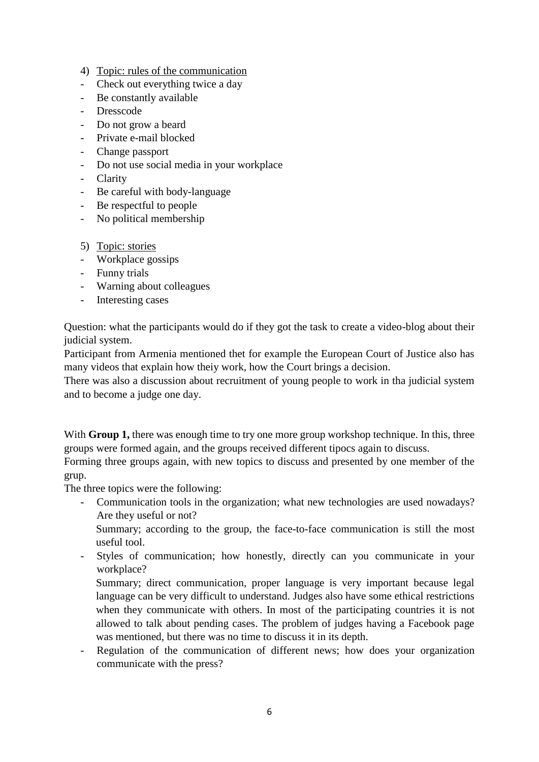- 4) Topic: rules of the communication
- Check out everything twice a day
- Be constantly available
- Dresscode
- Do not grow a beard
- Private e-mail blocked
- Change passport
- Do not use social media in your workplace
- Clarity
- Be careful with body-language
- Be respectful to people
- No political membership
- 5) Topic: stories
- Workplace gossips
- Funny trials
- Warning about colleagues
- Interesting cases

Question: what the participants would do if they got the task to create a video-blog about their judicial system.

Participant from Armenia mentioned thet for example the European Court of Justice also has many videos that explain how theiy work, how the Court brings a decision.

There was also a discussion about recruitment of young people to work in tha judicial system and to become a judge one day.

With **Group 1,** there was enough time to try one more group workshop technique. In this, three groups were formed again, and the groups received different tipocs again to discuss.

Forming three groups again, with new topics to discuss and presented by one member of the grup.

The three topics were the following:

- Communication tools in the organization; what new technologies are used nowadays? Are they useful or not?

Summary; according to the group, the face-to-face communication is still the most useful tool.

- Styles of communication; how honestly, directly can you communicate in your workplace?

Summary; direct communication, proper language is very important because legal language can be very difficult to understand. Judges also have some ethical restrictions when they communicate with others. In most of the participating countries it is not allowed to talk about pending cases. The problem of judges having a Facebook page was mentioned, but there was no time to discuss it in its depth.

Regulation of the communication of different news; how does your organization communicate with the press?